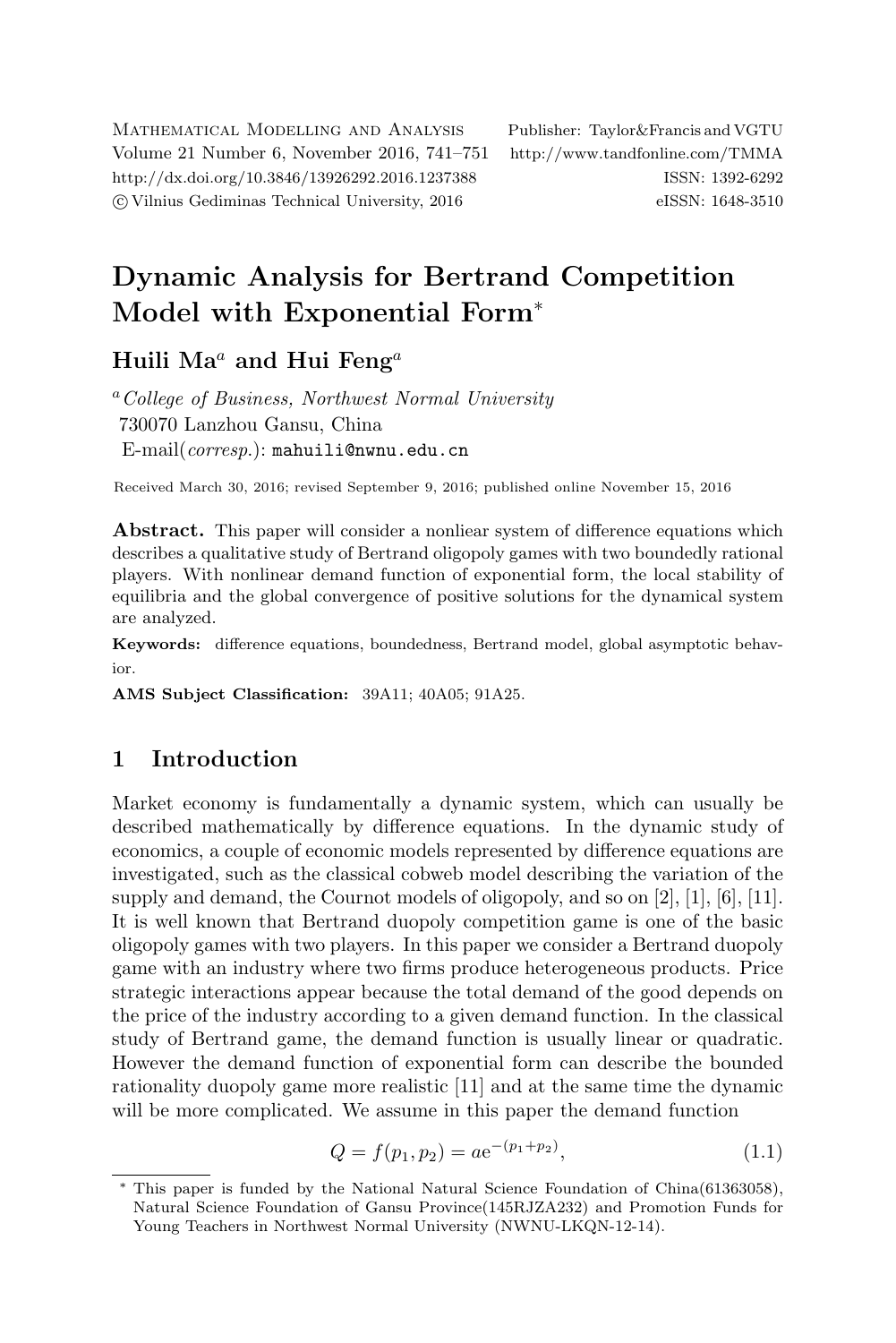Mathematical Modelling and Analysis Publisher: Taylor&Francis and VGTU Volume 21 Number 6, November 2016, 741–751 <http://www.tandfonline.com/TMMA> <http://dx.doi.org/10.3846/13926292.2016.1237388> ISSN: 1392-6292 c Vilnius Gediminas Technical University, 2016 eISSN: 1648-3510

# Dynamic Analysis for Bertrand Competition Model with Exponential Form<sup>∗</sup>

## Huili Ma<sup> $a$ </sup> and Hui Feng<sup>a</sup>

<sup>a</sup> College of Business, Northwest Normal University 730070 Lanzhou Gansu, China E-mail(corresp.): [mahuili@nwnu.edu.cn](mailto:mahuili@nwnu.edu.cn)

Received March 30, 2016; revised September 9, 2016; published online November 15, 2016

Abstract. This paper will consider a nonliear system of difference equations which describes a qualitative study of Bertrand oligopoly games with two boundedly rational players. With nonlinear demand function of exponential form, the local stability of equilibria and the global convergence of positive solutions for the dynamical system are analyzed.

Keywords: difference equations, boundedness, Bertrand model, global asymptotic behavior.

AMS Subject Classification: 39A11; 40A05; 91A25.

## 1 Introduction

Market economy is fundamentally a dynamic system, which can usually be described mathematically by difference equations. In the dynamic study of economics, a couple of economic models represented by difference equations are investigated, such as the classical cobweb model describing the variation of the supply and demand, the Cournot models of oligopoly, and so on [\[2\]](#page-9-0), [\[1\]](#page-9-1), [\[6\]](#page-9-2), [\[11\]](#page-10-0). It is well known that Bertrand duopoly competition game is one of the basic oligopoly games with two players. In this paper we consider a Bertrand duopoly game with an industry where two firms produce heterogeneous products. Price strategic interactions appear because the total demand of the good depends on the price of the industry according to a given demand function. In the classical study of Bertrand game, the demand function is usually linear or quadratic. However the demand function of exponential form can describe the bounded rationality duopoly game more realistic [\[11\]](#page-10-0) and at the same time the dynamic will be more complicated. We assume in this paper the demand function

<span id="page-0-0"></span>
$$
Q = f(p_1, p_2) = a e^{-(p_1 + p_2)}, \tag{1.1}
$$

<sup>∗</sup> This paper is funded by the National Natural Science Foundation of China(61363058), Natural Science Foundation of Gansu Province(145RJZA232) and Promotion Funds for Young Teachers in Northwest Normal University (NWNU-LKQN-12-14).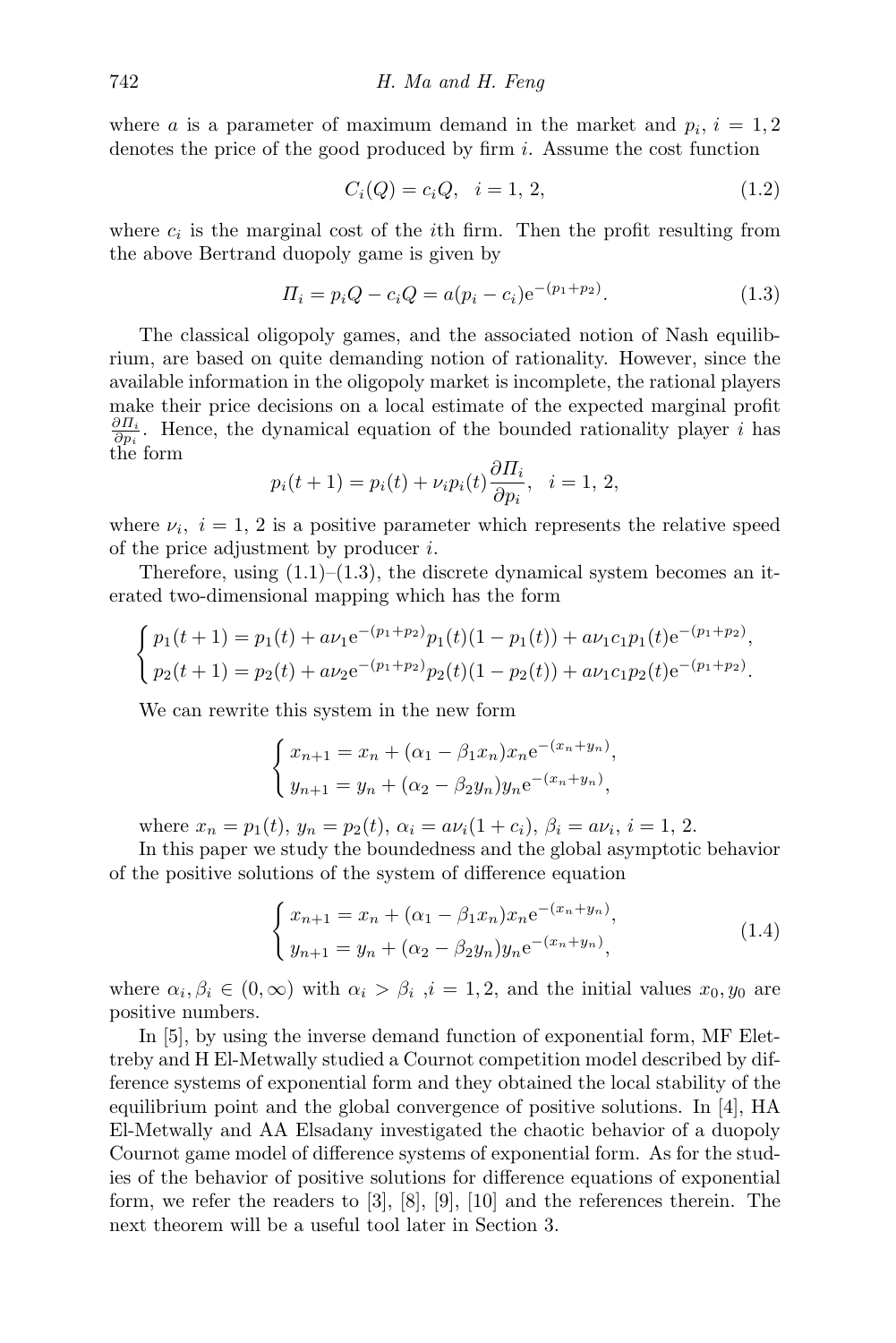where *a* is a parameter of maximum demand in the market and  $p_i$ ,  $i = 1, 2$ denotes the price of the good produced by firm i. Assume the cost function

<span id="page-1-0"></span>
$$
C_i(Q) = c_i Q, \quad i = 1, 2,
$$
\n(1.2)

where  $c_i$  is the marginal cost of the *i*th firm. Then the profit resulting from the above Bertrand duopoly game is given by

$$
\Pi_i = p_i Q - c_i Q = a(p_i - c_i) e^{-(p_1 + p_2)}.
$$
\n(1.3)

The classical oligopoly games, and the associated notion of Nash equilibrium, are based on quite demanding notion of rationality. However, since the available information in the oligopoly market is incomplete, the rational players make their price decisions on a local estimate of the expected marginal profit  $\frac{\partial \Pi_i}{\partial p_i}$ . Hence, the dynamical equation of the bounded rationality player *i* has the form

$$
p_i(t+1) = p_i(t) + \nu_i p_i(t) \frac{\partial \Pi_i}{\partial p_i}, \quad i = 1, 2,
$$

where  $\nu_i$ ,  $i = 1, 2$  is a positive parameter which represents the relative speed of the price adjustment by producer i.

Therefore, using  $(1.1)$ – $(1.3)$ , the discrete dynamical system becomes an iterated two-dimensional mapping which has the form

$$
\begin{cases} p_1(t+1) = p_1(t) + a\nu_1 e^{-(p_1+p_2)} p_1(t) (1-p_1(t)) + a\nu_1 c_1 p_1(t) e^{-(p_1+p_2)}, \\ p_2(t+1) = p_2(t) + a\nu_2 e^{-(p_1+p_2)} p_2(t) (1-p_2(t)) + a\nu_1 c_1 p_2(t) e^{-(p_1+p_2)}. \end{cases}
$$

We can rewrite this system in the new form

$$
\begin{cases} x_{n+1} = x_n + (\alpha_1 - \beta_1 x_n) x_n e^{-(x_n + y_n)}, \\ y_{n+1} = y_n + (\alpha_2 - \beta_2 y_n) y_n e^{-(x_n + y_n)}, \end{cases}
$$

where  $x_n = p_1(t), y_n = p_2(t), \alpha_i = a\nu_i(1+c_i), \beta_i = a\nu_i, i = 1, 2.$ 

In this paper we study the boundedness and the global asymptotic behavior of the positive solutions of the system of difference equation

<span id="page-1-2"></span><span id="page-1-1"></span>
$$
\begin{cases}\nx_{n+1} = x_n + (\alpha_1 - \beta_1 x_n)x_n e^{-(x_n + y_n)}, \\
y_{n+1} = y_n + (\alpha_2 - \beta_2 y_n)y_n e^{-(x_n + y_n)},\n\end{cases}
$$
\n(1.4)

where  $\alpha_i, \beta_i \in (0, \infty)$  with  $\alpha_i > \beta_i$ ,  $i = 1, 2$ , and the initial values  $x_0, y_0$  are positive numbers.

In [\[5\]](#page-9-3), by using the inverse demand function of exponential form, MF Elettreby and H El-Metwally studied a Cournot competition model described by difference systems of exponential form and they obtained the local stability of the equilibrium point and the global convergence of positive solutions. In [\[4\]](#page-9-4), HA El-Metwally and AA Elsadany investigated the chaotic behavior of a duopoly Cournot game model of difference systems of exponential form. As for the studies of the behavior of positive solutions for difference equations of exponential form, we refer the readers to [\[3\]](#page-9-5), [\[8\]](#page-10-1), [\[9\]](#page-10-2), [\[10\]](#page-10-3) and the references therein. The next theorem will be a useful tool later in Section [3.](#page-3-0)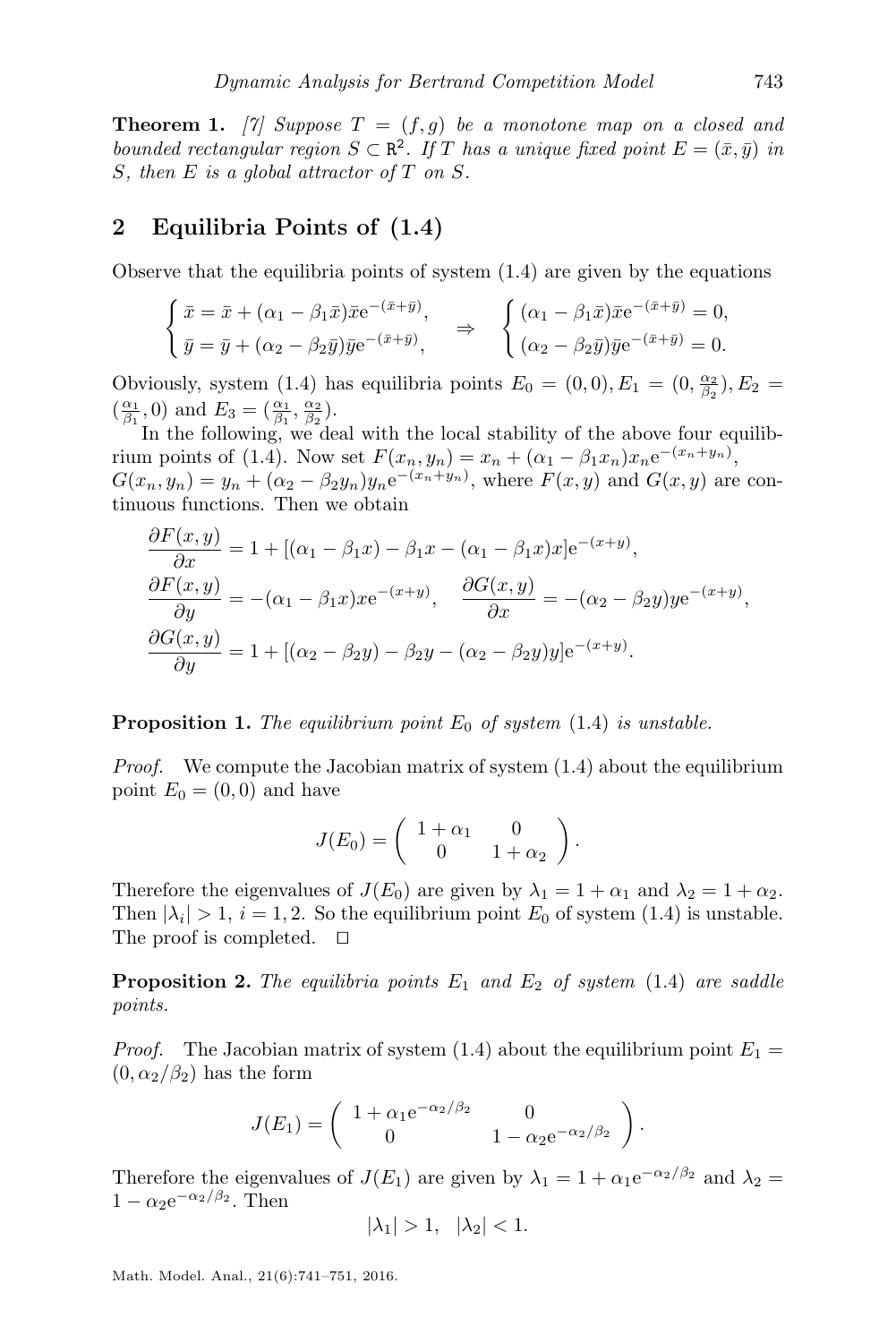**Theorem 1.** [\[7\]](#page-9-6) Suppose  $T = (f, g)$  be a monotone map on a closed and bounded rectangular region  $S \subset \mathbb{R}^2$ . If T has a unique fixed point  $E = (\bar{x}, \bar{y})$  in S, then  $E$  is a global attractor of  $T$  on  $S$ .

## 2 Equilibria Points of [\(1.4\)](#page-1-1)

Observe that the equilibria points of system  $(1.4)$  are given by the equations

$$
\begin{cases} \bar{x} = \bar{x} + (\alpha_1 - \beta_1 \bar{x}) \bar{x} e^{-(\bar{x} + \bar{y})}, \\ \bar{y} = \bar{y} + (\alpha_2 - \beta_2 \bar{y}) \bar{y} e^{-(\bar{x} + \bar{y})}, \end{cases} \Rightarrow \begin{cases} (\alpha_1 - \beta_1 \bar{x}) \bar{x} e^{-(\bar{x} + \bar{y})} = 0, \\ (\alpha_2 - \beta_2 \bar{y}) \bar{y} e^{-(\bar{x} + \bar{y})} = 0. \end{cases}
$$

Obviously, system [\(1.4\)](#page-1-1) has equilibria points  $E_0 = (0,0), E_1 = (0, \frac{\alpha_2}{\beta_2}), E_2 =$  $\left(\frac{\alpha_1}{\beta_1}, 0\right)$  and  $E_3 = \left(\frac{\alpha_1}{\beta_1}, \frac{\alpha_2}{\beta_2}\right)$ .

In the following, we deal with the local stability of the above four equilib-rium points of [\(1.4\)](#page-1-1). Now set  $F(x_n, y_n) = x_n + (\alpha_1 - \beta_1 x_n)x_n e^{-(x_n + y_n)}$ ,  $G(x_n, y_n) = y_n + (\alpha_2 - \beta_2 y_n) y_n e^{-(x_n + y_n)}$ , where  $F(x, y)$  and  $G(x, y)$  are continuous functions. Then we obtain

$$
\frac{\partial F(x,y)}{\partial x} = 1 + \left[ (\alpha_1 - \beta_1 x) - \beta_1 x - (\alpha_1 - \beta_1 x) x \right] e^{-(x+y)},
$$
  
\n
$$
\frac{\partial F(x,y)}{\partial y} = -(\alpha_1 - \beta_1 x) x e^{-(x+y)}, \quad \frac{\partial G(x,y)}{\partial x} = -(\alpha_2 - \beta_2 y) y e^{-(x+y)},
$$
  
\n
$$
\frac{\partial G(x,y)}{\partial y} = 1 + \left[ (\alpha_2 - \beta_2 y) - \beta_2 y - (\alpha_2 - \beta_2 y) y \right] e^{-(x+y)}.
$$

#### **Proposition 1.** The equilibrium point  $E_0$  of system [\(1.4\)](#page-1-1) is unstable.

*Proof.* We compute the Jacobian matrix of system  $(1.4)$  about the equilibrium point  $E_0 = (0,0)$  and have

$$
J(E_0) = \begin{pmatrix} 1 + \alpha_1 & 0 \\ 0 & 1 + \alpha_2 \end{pmatrix}.
$$

Therefore the eigenvalues of  $J(E_0)$  are given by  $\lambda_1 = 1 + \alpha_1$  and  $\lambda_2 = 1 + \alpha_2$ . Then  $|\lambda_i| > 1$ ,  $i = 1, 2$ . So the equilibrium point  $E_0$  of system [\(1.4\)](#page-1-1) is unstable. The proof is completed.  $\square$ 

**Proposition 2.** The equilibria points  $E_1$  and  $E_2$  of system [\(1.4\)](#page-1-1) are saddle points.

*Proof.* The Jacobian matrix of system [\(1.4\)](#page-1-1) about the equilibrium point  $E_1 =$  $(0, \alpha_2/\beta_2)$  has the form

$$
J(E_1) = \begin{pmatrix} 1 + \alpha_1 e^{-\alpha_2/\beta_2} & 0 \\ 0 & 1 - \alpha_2 e^{-\alpha_2/\beta_2} \end{pmatrix}.
$$

Therefore the eigenvalues of  $J(E_1)$  are given by  $\lambda_1 = 1 + \alpha_1 e^{-\alpha_2/\beta_2}$  and  $\lambda_2 =$  $1 - \alpha_2 e^{-\alpha_2/\beta_2}$ . Then

$$
|\lambda_1| > 1, \quad |\lambda_2| < 1.
$$

Math. Model. Anal., 21(6):741–751, 2016.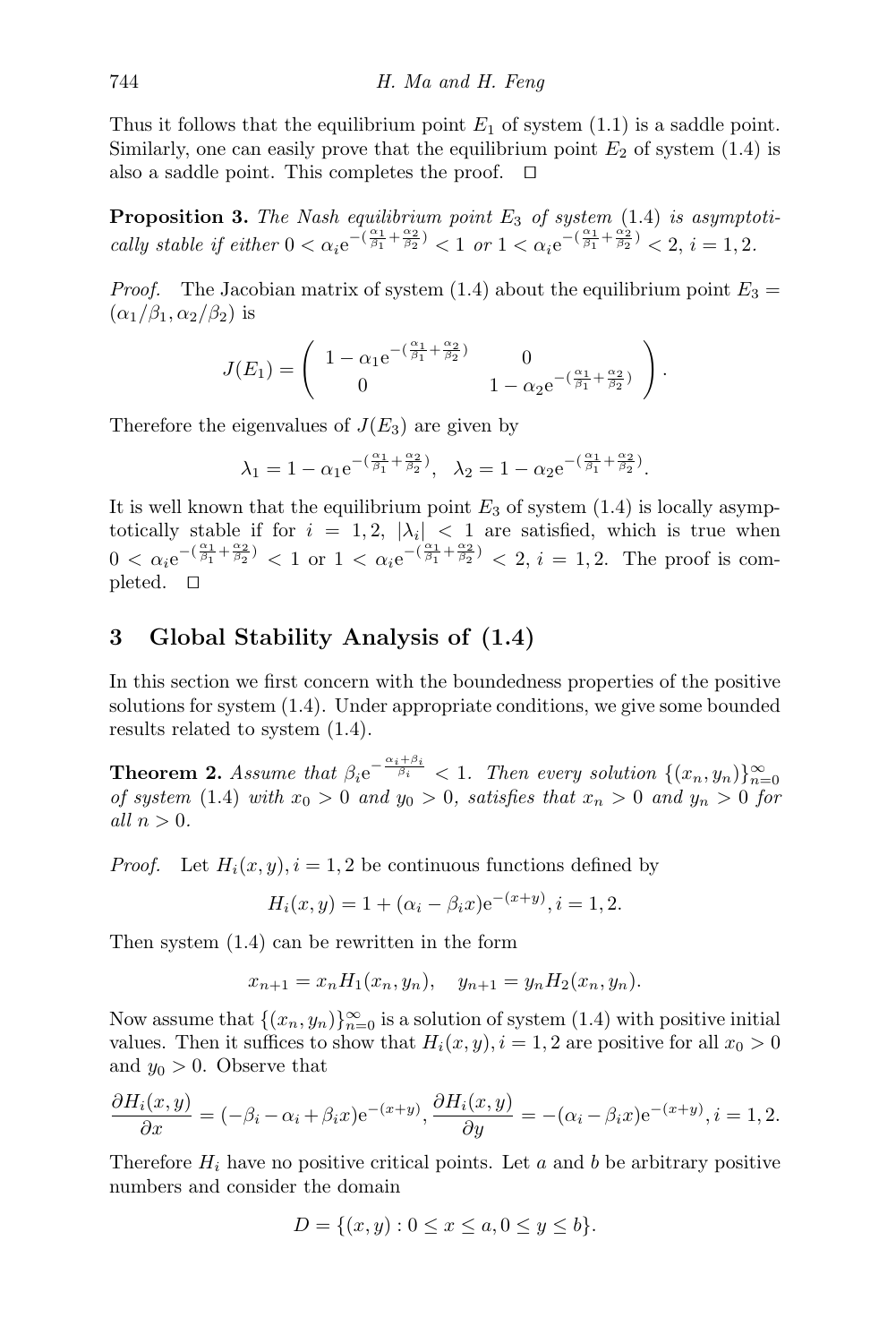Thus it follows that the equilibrium point  $E_1$  of system [\(1.1\)](#page-0-0) is a saddle point. Similarly, one can easily prove that the equilibrium point  $E_2$  of system [\(1.4\)](#page-1-1) is also a saddle point. This completes the proof.  $\square$ 

**Proposition 3.** The Nash equilibrium point  $E_3$  of system  $(1.4)$  is asymptotically stable if either  $0 < \alpha_i e^{-(\frac{\alpha_1}{\beta_1} + \frac{\alpha_2}{\beta_2})} < 1$  or  $1 < \alpha_i e^{-(\frac{\alpha_1}{\beta_1} + \frac{\alpha_2}{\beta_2})} < 2$ ,  $i = 1, 2$ .

*Proof.* The Jacobian matrix of system [\(1.4\)](#page-1-1) about the equilibrium point  $E_3 =$  $(\alpha_1/\beta_1, \alpha_2/\beta_2)$  is

$$
J(E_1) = \begin{pmatrix} 1 - \alpha_1 e^{-(\frac{\alpha_1}{\beta_1} + \frac{\alpha_2}{\beta_2})} & 0 \\ 0 & 1 - \alpha_2 e^{-(\frac{\alpha_1}{\beta_1} + \frac{\alpha_2}{\beta_2})} \end{pmatrix}.
$$

Therefore the eigenvalues of  $J(E_3)$  are given by

$$
\lambda_1=1-\alpha_1\mathrm{e}^{-(\frac{\alpha_1}{\beta_1}+\frac{\alpha_2}{\beta_2})},\ \ \lambda_2=1-\alpha_2\mathrm{e}^{-(\frac{\alpha_1}{\beta_1}+\frac{\alpha_2}{\beta_2})}.
$$

It is well known that the equilibrium point  $E_3$  of system [\(1.4\)](#page-1-1) is locally asymptotically stable if for  $i = 1, 2, |\lambda_i| < 1$  are satisfied, which is true when  $0 < \alpha_i e^{-(\frac{\alpha_1}{\beta_1} + \frac{\alpha_2}{\beta_2})} < 1$  or  $1 < \alpha_i e^{-(\frac{\alpha_1}{\beta_1} + \frac{\alpha_2}{\beta_2})} < 2$ ,  $i = 1, 2$ . The proof is completed.  $\Box$ 

## <span id="page-3-0"></span>3 Global Stability Analysis of [\(1.4\)](#page-1-1)

In this section we first concern with the boundedness properties of the positive solutions for system [\(1.4\)](#page-1-1). Under appropriate conditions, we give some bounded results related to system [\(1.4\)](#page-1-1).

**Theorem 2.** Assume that  $\beta_i e^{-\frac{\alpha_i+\beta_i}{\beta_i}} < 1$ . Then every solution  $\{(x_n, y_n)\}_{n=0}^{\infty}$ of system [\(1.4\)](#page-1-1) with  $x_0 > 0$  and  $y_0 > 0$ , satisfies that  $x_n > 0$  and  $y_n > 0$  for all  $n > 0$ .

*Proof.* Let  $H_i(x, y)$ ,  $i = 1, 2$  be continuous functions defined by

$$
H_i(x, y) = 1 + (\alpha_i - \beta_i x) e^{-(x+y)}, i = 1, 2.
$$

Then system [\(1.4\)](#page-1-1) can be rewritten in the form

$$
x_{n+1} = x_n H_1(x_n, y_n), \quad y_{n+1} = y_n H_2(x_n, y_n).
$$

Now assume that  $\{(x_n, y_n)\}_{n=0}^{\infty}$  is a solution of system  $(1.4)$  with positive initial values. Then it suffices to show that  $H_i(x, y)$ ,  $i = 1, 2$  are positive for all  $x_0 > 0$ and  $y_0 > 0$ . Observe that

$$
\frac{\partial H_i(x,y)}{\partial x} = (-\beta_i - \alpha_i + \beta_i x) e^{-(x+y)}, \frac{\partial H_i(x,y)}{\partial y} = -(\alpha_i - \beta_i x) e^{-(x+y)}, i = 1, 2.
$$

Therefore  $H_i$  have no positive critical points. Let a and b be arbitrary positive numbers and consider the domain

$$
D = \{(x, y) : 0 \le x \le a, 0 \le y \le b\}.
$$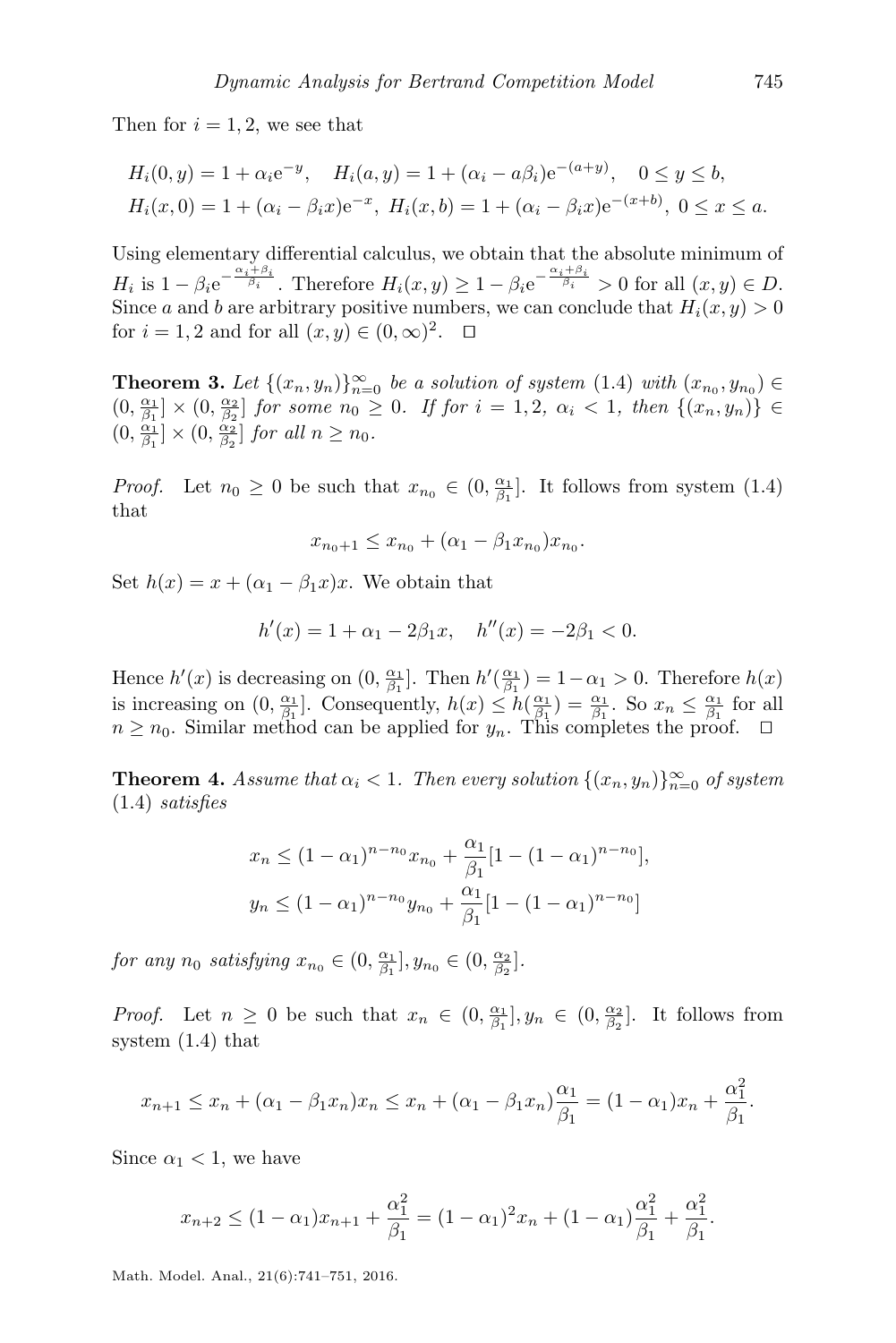Then for  $i = 1, 2$ , we see that

$$
H_i(0, y) = 1 + \alpha_i e^{-y}, \quad H_i(a, y) = 1 + (\alpha_i - a\beta_i)e^{-(a+y)}, \quad 0 \le y \le b,
$$
  

$$
H_i(x, 0) = 1 + (\alpha_i - \beta_i x)e^{-x}, \quad H_i(x, b) = 1 + (\alpha_i - \beta_i x)e^{-(x+b)}, \quad 0 \le x \le a.
$$

Using elementary differential calculus, we obtain that the absolute minimum of  $H_i$  is  $1 - \beta_i e^{-\frac{\alpha_i + \beta_i}{\beta_i}}$ . Therefore  $H_i(x, y) \geq 1 - \beta_i e^{-\frac{\alpha_i + \beta_i}{\beta_i}} > 0$  for all  $(x, y) \in D$ . Since a and b are arbitrary positive numbers, we can conclude that  $H_i(x, y) > 0$ for  $i = 1, 2$  and for all  $(x, y) \in (0, \infty)^2$ .  $\Box$ 

**Theorem 3.** Let  $\{(x_n, y_n)\}_{n=0}^{\infty}$  be a solution of system  $(1.4)$  with  $(x_{n_0}, y_{n_0}) \in$  $(0, \frac{\alpha_1}{\beta_1}] \times (0, \frac{\alpha_2}{\beta_2}]$  for some  $n_0 \geq 0$ . If for  $i = 1, 2, \alpha_i < 1$ , then  $\{(x_n, y_n)\}\in$  $(0, \frac{\alpha_1}{\beta_1}] \times (0, \frac{\alpha_2}{\beta_2}]$  for all  $n \geq n_0$ .

*Proof.* Let  $n_0 \ge 0$  be such that  $x_{n_0} \in (0, \frac{\alpha_1}{\beta_1}]$ . It follows from system [\(1.4\)](#page-1-1) that

$$
x_{n_0+1} \le x_{n_0} + (\alpha_1 - \beta_1 x_{n_0}) x_{n_0}.
$$

Set  $h(x) = x + (\alpha_1 - \beta_1 x)x$ . We obtain that

$$
h'(x) = 1 + \alpha_1 - 2\beta_1 x, \quad h''(x) = -2\beta_1 < 0.
$$

Hence  $h'(x)$  is decreasing on  $(0, \frac{\alpha_1}{\beta_1}]$ . Then  $h'(\frac{\alpha_1}{\beta_1}) = 1 - \alpha_1 > 0$ . Therefore  $h(x)$ is increasing on  $(0, \frac{\alpha_1}{\beta_1}]$ . Consequently,  $h(x) \leq h(\frac{\alpha_1}{\beta_1}) = \frac{\alpha_1}{\beta_1}$ . So  $x_n \leq \frac{\alpha_1}{\beta_1}$  for all  $n \geq n_0$ . Similar method can be applied for  $y_n$ . This completes the proof.  $\Box$ 

<span id="page-4-0"></span>**Theorem 4.** Assume that  $\alpha_i < 1$ . Then every solution  $\{(x_n, y_n)\}_{n=0}^{\infty}$  of system [\(1.4\)](#page-1-1) satisfies

$$
x_n \le (1 - \alpha_1)^{n - n_0} x_{n_0} + \frac{\alpha_1}{\beta_1} [1 - (1 - \alpha_1)^{n - n_0}],
$$
  

$$
y_n \le (1 - \alpha_1)^{n - n_0} y_{n_0} + \frac{\alpha_1}{\beta_1} [1 - (1 - \alpha_1)^{n - n_0}]
$$

for any  $n_0$  satisfying  $x_{n_0} \in (0, \frac{\alpha_1}{\beta_1}], y_{n_0} \in (0, \frac{\alpha_2}{\beta_2}].$ 

*Proof.* Let  $n \geq 0$  be such that  $x_n \in (0, \frac{\alpha_1}{\beta_1}], y_n \in (0, \frac{\alpha_2}{\beta_2}]$ . It follows from system [\(1.4\)](#page-1-1) that

$$
x_{n+1} \le x_n + (\alpha_1 - \beta_1 x_n)x_n \le x_n + (\alpha_1 - \beta_1 x_n) \frac{\alpha_1}{\beta_1} = (1 - \alpha_1)x_n + \frac{\alpha_1^2}{\beta_1}.
$$

Since  $\alpha_1$  < 1, we have

$$
x_{n+2} \le (1 - \alpha_1)x_{n+1} + \frac{\alpha_1^2}{\beta_1} = (1 - \alpha_1)^2 x_n + (1 - \alpha_1)\frac{\alpha_1^2}{\beta_1} + \frac{\alpha_1^2}{\beta_1}.
$$

Math. Model. Anal., 21(6):741–751, 2016.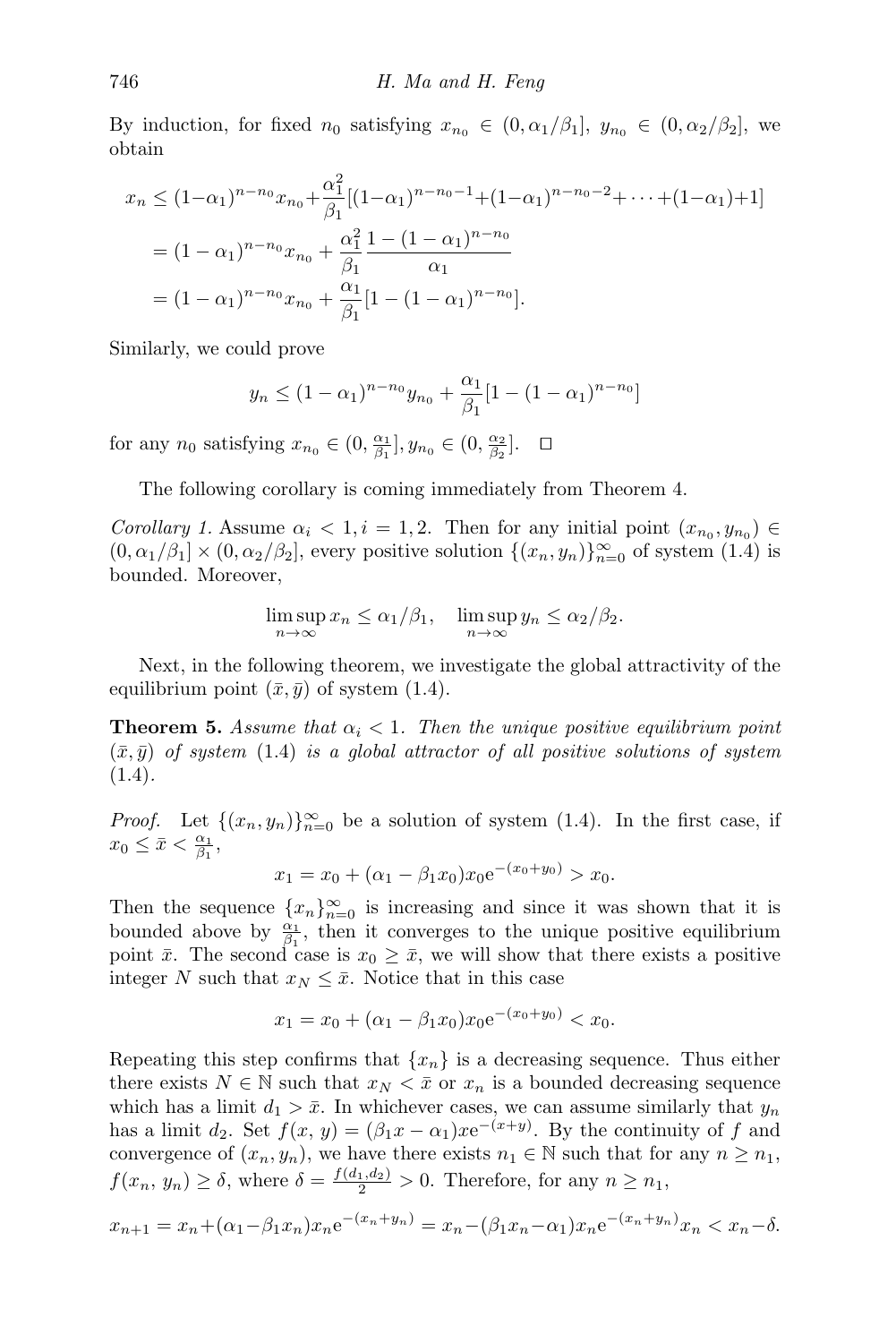By induction, for fixed  $n_0$  satisfying  $x_{n_0} \in (0, \alpha_1/\beta_1], y_{n_0} \in (0, \alpha_2/\beta_2],$  we obtain

$$
x_n \le (1-\alpha_1)^{n-n_0} x_{n_0} + \frac{\alpha_1^2}{\beta_1} [(1-\alpha_1)^{n-n_0-1} + (1-\alpha_1)^{n-n_0-2} + \dots + (1-\alpha_1) + 1]
$$
  
=  $(1-\alpha_1)^{n-n_0} x_{n_0} + \frac{\alpha_1^2}{\beta_1} \frac{1 - (1-\alpha_1)^{n-n_0}}{\alpha_1}$   
=  $(1-\alpha_1)^{n-n_0} x_{n_0} + \frac{\alpha_1}{\beta_1} [1 - (1-\alpha_1)^{n-n_0}].$ 

Similarly, we could prove

$$
y_n \le (1 - \alpha_1)^{n - n_0} y_{n_0} + \frac{\alpha_1}{\beta_1} [1 - (1 - \alpha_1)^{n - n_0}]
$$

for any  $n_0$  satisfying  $x_{n_0} \in (0, \frac{\alpha_1}{\beta_1}], y_{n_0} \in (0, \frac{\alpha_2}{\beta_2}]. \quad \Box$ 

The following corollary is coming immediately from Theorem [4.](#page-4-0)

Corollary 1. Assume  $\alpha_i < 1, i = 1, 2$ . Then for any initial point  $(x_{n_0}, y_{n_0}) \in$  $(0, \alpha_1/\beta_1] \times (0, \alpha_2/\beta_2]$ , every positive solution  $\{(x_n, y_n)\}_{n=0}^{\infty}$  of system  $(1.4)$  is bounded. Moreover,

$$
\limsup_{n \to \infty} x_n \le \alpha_1/\beta_1, \quad \limsup_{n \to \infty} y_n \le \alpha_2/\beta_2.
$$

Next, in the following theorem, we investigate the global attractivity of the equilibrium point  $(\bar{x}, \bar{y})$  of system [\(1.4\)](#page-1-1).

**Theorem 5.** Assume that  $\alpha_i < 1$ . Then the unique positive equilibrium point  $(\bar{x}, \bar{y})$  of system [\(1.4\)](#page-1-1) is a global attractor of all positive solutions of system  $(1.4).$  $(1.4).$ 

*Proof.* Let  $\{(x_n, y_n)\}_{n=0}^{\infty}$  be a solution of system [\(1.4\)](#page-1-1). In the first case, if  $x_0 \leq \bar{x} < \frac{\alpha_1}{\beta_1},$ 

$$
x_1 = x_0 + (\alpha_1 - \beta_1 x_0) x_0 e^{-(x_0 + y_0)} > x_0.
$$

Then the sequence  ${x_n}_{n=0}^{\infty}$  is increasing and since it was shown that it is bounded above by  $\frac{\alpha_1}{\beta_1}$ , then it converges to the unique positive equilibrium point  $\bar{x}$ . The second case is  $x_0 \geq \bar{x}$ , we will show that there exists a positive integer N such that  $x_N \leq \bar{x}$ . Notice that in this case

$$
x_1 = x_0 + (\alpha_1 - \beta_1 x_0) x_0 e^{-(x_0 + y_0)} < x_0.
$$

Repeating this step confirms that  $\{x_n\}$  is a decreasing sequence. Thus either there exists  $N \in \mathbb{N}$  such that  $x_N < \bar{x}$  or  $x_n$  is a bounded decreasing sequence which has a limit  $d_1 > \bar{x}$ . In whichever cases, we can assume similarly that  $y_n$ has a limit  $d_2$ . Set  $f(x, y) = (\beta_1 x - \alpha_1) x e^{-(x+y)}$ . By the continuity of f and convergence of  $(x_n, y_n)$ , we have there exists  $n_1 \in \mathbb{N}$  such that for any  $n \geq n_1$ ,  $f(x_n, y_n) \ge \delta$ , where  $\delta = \frac{f(d_1, d_2)}{2} > 0$ . Therefore, for any  $n \ge n_1$ ,

$$
x_{n+1} = x_n + (\alpha_1 - \beta_1 x_n)x_n e^{-(x_n + y_n)} = x_n - (\beta_1 x_n - \alpha_1)x_n e^{-(x_n + y_n)} x_n < x_n - \delta.
$$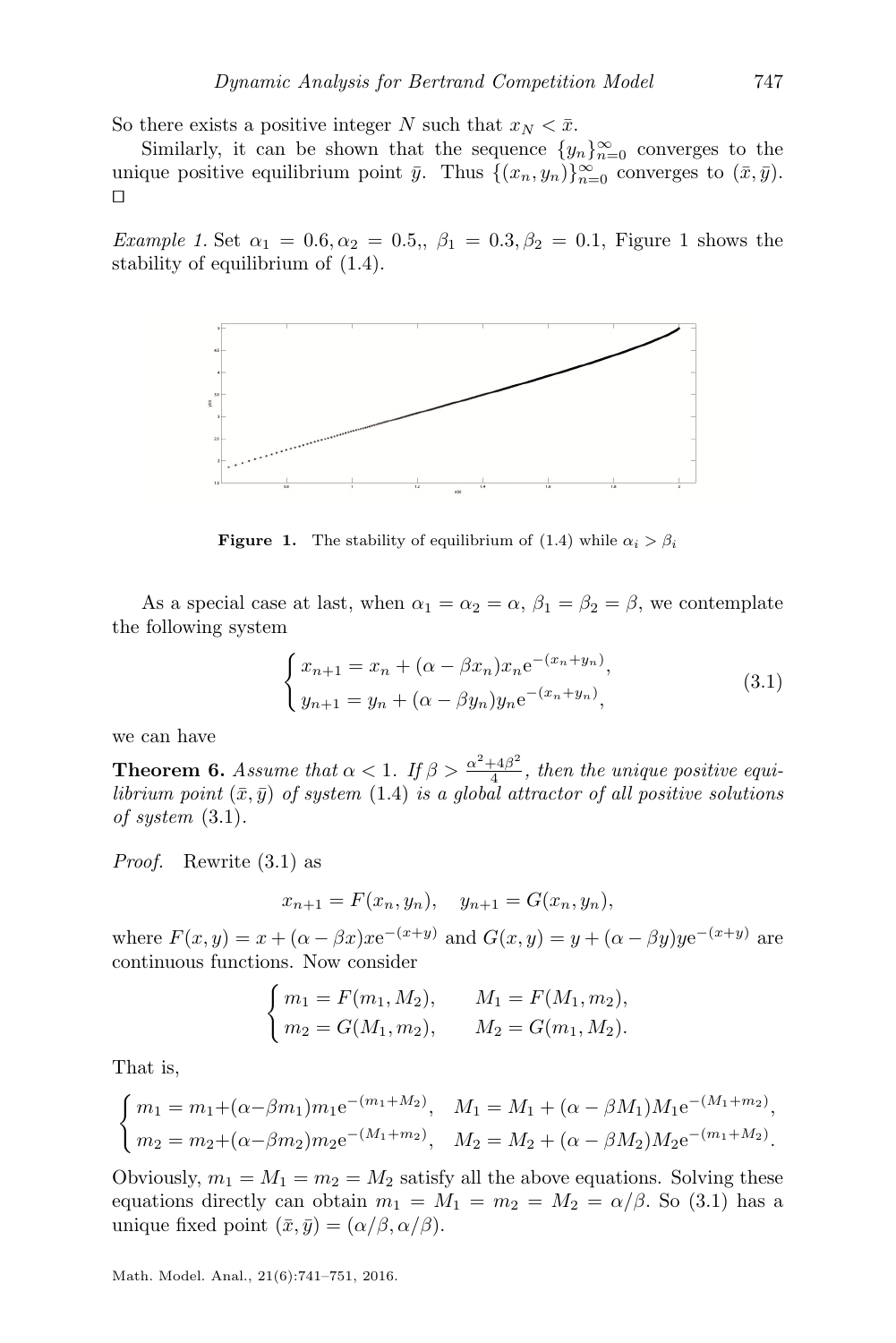So there exists a positive integer N such that  $x_N < \bar{x}$ .

Similarly, it can be shown that the sequence  $\{y_n\}_{n=0}^{\infty}$  converges to the unique positive equilibrium point  $\bar{y}$ . Thus  $\{(x_n, y_n)\}_{n=0}^{\infty}$  converges to  $(\bar{x}, \bar{y})$ .  $\Box$ 

<span id="page-6-0"></span>Example [1](#page-6-0). Set  $\alpha_1 = 0.6, \alpha_2 = 0.5, \beta_1 = 0.3, \beta_2 = 0.1$ , Figure 1 shows the stability of equilibrium of [\(1.4\)](#page-1-1).



**Figure 1.** The stability of equilibrium of [\(1.4\)](#page-1-1) while  $\alpha_i > \beta_i$ 

As a special case at last, when  $\alpha_1 = \alpha_2 = \alpha$ ,  $\beta_1 = \beta_2 = \beta$ , we contemplate the following system

<span id="page-6-1"></span>
$$
\begin{cases}\n x_{n+1} = x_n + (\alpha - \beta x_n) x_n e^{-(x_n + y_n)}, \\
 y_{n+1} = y_n + (\alpha - \beta y_n) y_n e^{-(x_n + y_n)},\n\end{cases}
$$
\n(3.1)

we can have

**Theorem 6.** Assume that  $\alpha < 1$ . If  $\beta > \frac{\alpha^2 + 4\beta^2}{4}$  $\frac{44\rho}{4}$ , then the unique positive equilibrium point  $(\bar{x}, \bar{y})$  of system  $(1.4)$  is a global attractor of all positive solutions of system [\(3.1\)](#page-6-1).

Proof. Rewrite [\(3.1\)](#page-6-1) as

$$
x_{n+1} = F(x_n, y_n), \quad y_{n+1} = G(x_n, y_n),
$$

where  $F(x, y) = x + (\alpha - \beta x)xe^{-(x+y)}$  and  $G(x, y) = y + (\alpha - \beta y)ye^{-(x+y)}$  are continuous functions. Now consider

$$
\begin{cases} m_1 = F(m_1, M_2), & M_1 = F(M_1, m_2), \\ m_2 = G(M_1, m_2), & M_2 = G(m_1, M_2). \end{cases}
$$

That is,

$$
\begin{cases}\nm_1 = m_1 + (\alpha - \beta m_1) m_1 e^{-(m_1 + M_2)}, & M_1 = M_1 + (\alpha - \beta M_1) M_1 e^{-(M_1 + m_2)}, \\
m_2 = m_2 + (\alpha - \beta m_2) m_2 e^{-(M_1 + m_2)}, & M_2 = M_2 + (\alpha - \beta M_2) M_2 e^{-(m_1 + M_2)}.\n\end{cases}
$$

Obviously,  $m_1 = M_1 = m_2 = M_2$  satisfy all the above equations. Solving these equations directly can obtain  $m_1 = M_1 = m_2 = M_2 = \alpha/\beta$ . So [\(3.1\)](#page-6-1) has a unique fixed point  $(\bar{x}, \bar{y}) = (\alpha/\beta, \alpha/\beta)$ .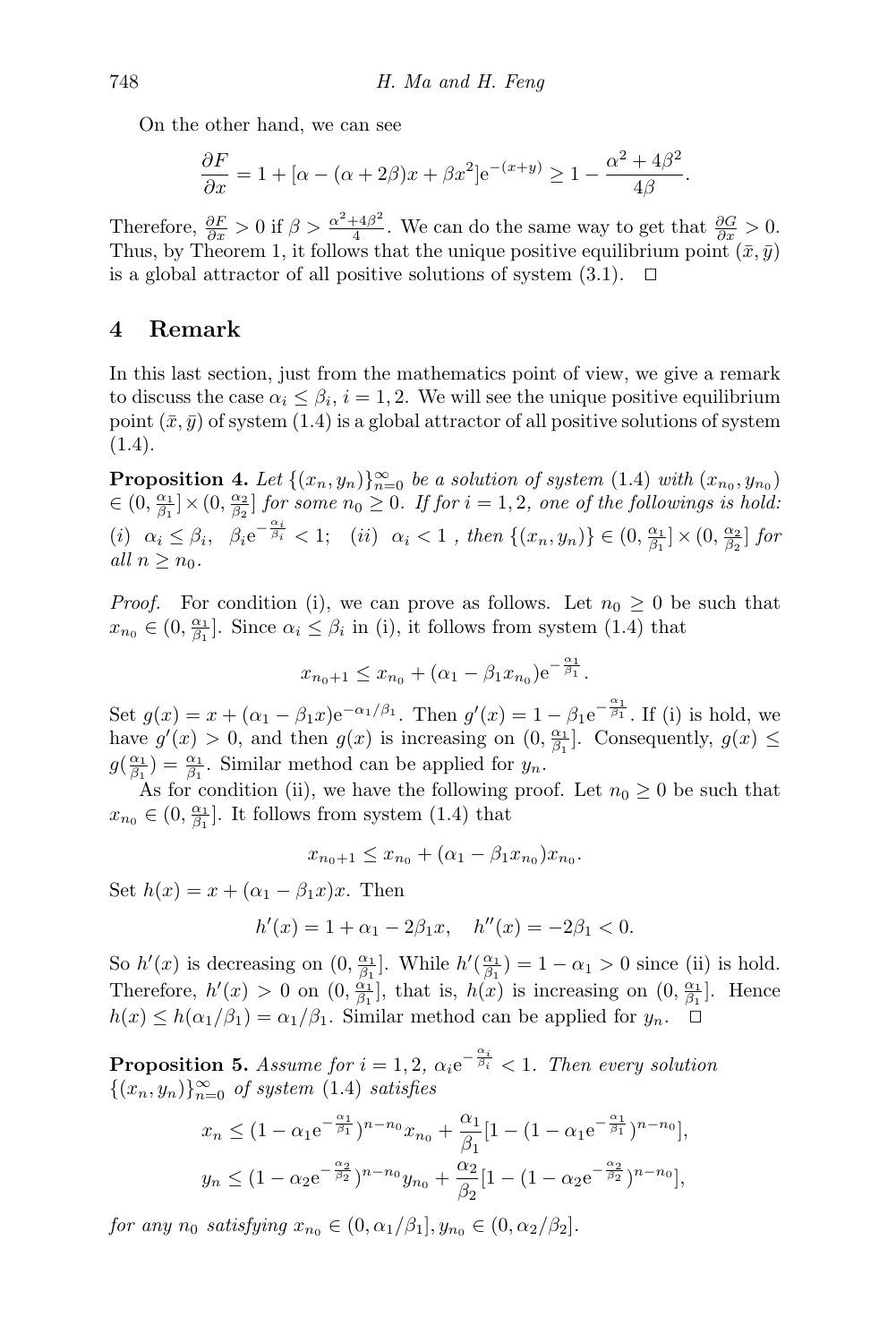On the other hand, we can see

$$
\frac{\partial F}{\partial x} = 1 + [\alpha - (\alpha + 2\beta)x + \beta x^2]e^{-(x+y)} \ge 1 - \frac{\alpha^2 + 4\beta^2}{4\beta}.
$$

Therefore,  $\frac{\partial F}{\partial x} > 0$  if  $\beta > \frac{\alpha^2 + 4\beta^2}{4}$  $\frac{+4\beta^2}{4}$ . We can do the same way to get that  $\frac{\partial G}{\partial x} > 0$ . Thus, by Theorem [1,](#page-1-2) it follows that the unique positive equilibrium point  $(\bar{x}, \bar{y})$ is a global attractor of all positive solutions of system  $(3.1)$ .  $\Box$ 

### 4 Remark

In this last section, just from the mathematics point of view, we give a remark to discuss the case  $\alpha_i \leq \beta_i$ ,  $i = 1, 2$ . We will see the unique positive equilibrium point  $(\bar{x}, \bar{y})$  of system [\(1.4\)](#page-1-1) is a global attractor of all positive solutions of system  $(1.4).$  $(1.4).$ 

**Proposition 4.** Let  $\{(x_n, y_n)\}_{n=0}^{\infty}$  be a solution of system [\(1.4\)](#page-1-1) with  $(x_{n_0}, y_{n_0})$  $\in (0, \frac{\alpha_1}{\beta_1}] \times (0, \frac{\alpha_2}{\beta_2}]$  for some  $n_0 \geq 0$ . If for  $i = 1, 2$ , one of the followings is hold: (i)  $\alpha_i \leq \beta_i$ ,  $\beta_i e^{-\frac{\alpha_i}{\beta_i}} < 1$ ; (ii)  $\alpha_i < 1$ , then  $\{(x_n, y_n)\} \in (0, \frac{\alpha_1}{\beta_1}] \times (0, \frac{\alpha_2}{\beta_2}]$  for all  $n \geq n_0$ .

*Proof.* For condition (i), we can prove as follows. Let  $n_0 \geq 0$  be such that  $x_{n_0} \in (0, \frac{\alpha_1}{\beta_1}]$ . Since  $\alpha_i \leq \beta_i$  in (i), it follows from system [\(1.4\)](#page-1-1) that

$$
x_{n_0+1} \le x_{n_0} + (\alpha_1 - \beta_1 x_{n_0}) e^{-\frac{\alpha_1}{\beta_1}}.
$$

Set  $g(x) = x + (\alpha_1 - \beta_1 x) e^{-\alpha_1/\beta_1}$ . Then  $g'(x) = 1 - \beta_1 e^{-\frac{\alpha_1}{\beta_1}}$ . If (i) is hold, we have  $g'(x) > 0$ , and then  $g(x)$  is increasing on  $(0, \frac{\alpha_1}{\beta_1}]$ . Consequently,  $g(x) \le$  $g(\frac{\alpha_1}{\beta_1}) = \frac{\alpha_1}{\beta_1}$ . Similar method can be applied for  $y_n$ .

As for condition (ii), we have the following proof. Let  $n_0 \geq 0$  be such that  $x_{n_0} \in (0, \frac{\alpha_1}{\beta_1}]$ . It follows from system [\(1.4\)](#page-1-1) that

$$
x_{n_0+1} \le x_{n_0} + (\alpha_1 - \beta_1 x_{n_0}) x_{n_0}.
$$

Set  $h(x) = x + (\alpha_1 - \beta_1 x)x$ . Then

$$
h'(x) = 1 + \alpha_1 - 2\beta_1 x, \quad h''(x) = -2\beta_1 < 0.
$$

So  $h'(x)$  is decreasing on  $(0, \frac{\alpha_1}{\beta_1}]$ . While  $h'(\frac{\alpha_1}{\beta_1}) = 1 - \alpha_1 > 0$  since (ii) is hold. Therefore,  $h'(x) > 0$  on  $(0, \frac{\alpha_1}{\beta_1}]$ , that is,  $h(x)$  is increasing on  $(0, \frac{\alpha_1}{\beta_1}]$ . Hence  $h(x) \leq h(\alpha_1/\beta_1) = \alpha_1/\beta_1$ . Similar method can be applied for  $y_n$ .  $\Box$ 

<span id="page-7-0"></span>**Proposition 5.** Assume for  $i = 1, 2, \alpha_i e^{-\frac{\alpha_i}{\beta_i}} < 1$ . Then every solution  $\{(x_n, y_n)\}_{n=0}^{\infty}$  of system [\(1.4\)](#page-1-1) satisfies

$$
x_n \le (1 - \alpha_1 e^{-\frac{\alpha_1}{\beta_1}})^{n - n_0} x_{n_0} + \frac{\alpha_1}{\beta_1} [1 - (1 - \alpha_1 e^{-\frac{\alpha_1}{\beta_1}})^{n - n_0}],
$$
  

$$
y_n \le (1 - \alpha_2 e^{-\frac{\alpha_2}{\beta_2}})^{n - n_0} y_{n_0} + \frac{\alpha_2}{\beta_2} [1 - (1 - \alpha_2 e^{-\frac{\alpha_2}{\beta_2}})^{n - n_0}],
$$

for any  $n_0$  satisfying  $x_{n_0} \in (0, \alpha_1/\beta_1], y_{n_0} \in (0, \alpha_2/\beta_2].$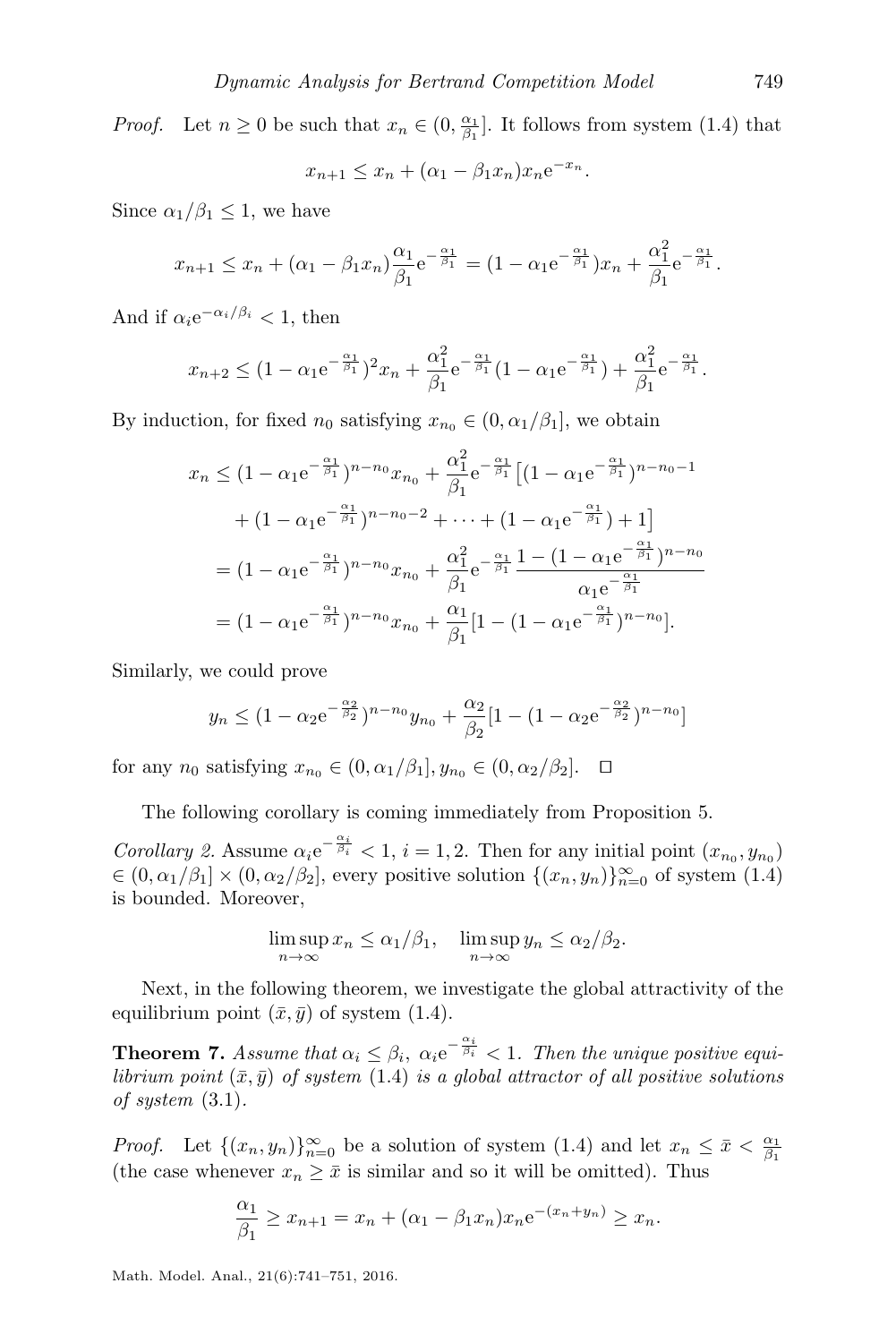*Proof.* Let  $n \geq 0$  be such that  $x_n \in (0, \frac{\alpha_1}{\beta_1}]$ . It follows from system [\(1.4\)](#page-1-1) that

$$
x_{n+1} \le x_n + (\alpha_1 - \beta_1 x_n) x_n e^{-x_n}.
$$

Since  $\alpha_1/\beta_1 \leq 1$ , we have

$$
x_{n+1} \le x_n + (\alpha_1 - \beta_1 x_n) \frac{\alpha_1}{\beta_1} e^{-\frac{\alpha_1}{\beta_1}} = (1 - \alpha_1 e^{-\frac{\alpha_1}{\beta_1}}) x_n + \frac{\alpha_1^2}{\beta_1} e^{-\frac{\alpha_1}{\beta_1}}.
$$

And if  $\alpha_i e^{-\alpha_i/\beta_i} < 1$ , then

$$
x_{n+2} \le (1 - \alpha_1 e^{-\frac{\alpha_1}{\beta_1}})^2 x_n + \frac{\alpha_1^2}{\beta_1} e^{-\frac{\alpha_1}{\beta_1}} (1 - \alpha_1 e^{-\frac{\alpha_1}{\beta_1}}) + \frac{\alpha_1^2}{\beta_1} e^{-\frac{\alpha_1}{\beta_1}}.
$$

By induction, for fixed  $n_0$  satisfying  $x_{n_0} \in (0, \alpha_1/\beta_1]$ , we obtain

$$
x_n \le (1 - \alpha_1 e^{-\frac{\alpha_1}{\beta_1}})^{n - n_0} x_{n_0} + \frac{\alpha_1^2}{\beta_1} e^{-\frac{\alpha_1}{\beta_1}} \left[ (1 - \alpha_1 e^{-\frac{\alpha_1}{\beta_1}})^{n - n_0 - 1} + (1 - \alpha_1 e^{-\frac{\alpha_1}{\beta_1}})^{n - n_0 - 2} + \dots + (1 - \alpha_1 e^{-\frac{\alpha_1}{\beta_1}}) + 1 \right]
$$
  
=  $(1 - \alpha_1 e^{-\frac{\alpha_1}{\beta_1}})^{n - n_0} x_{n_0} + \frac{\alpha_1^2}{\beta_1} e^{-\frac{\alpha_1}{\beta_1}} \frac{1 - (1 - \alpha_1 e^{-\frac{\alpha_1}{\beta_1}})^{n - n_0}}{\alpha_1 e^{-\frac{\alpha_1}{\beta_1}}} = (1 - \alpha_1 e^{-\frac{\alpha_1}{\beta_1}})^{n - n_0} x_{n_0} + \frac{\alpha_1}{\beta_1} [1 - (1 - \alpha_1 e^{-\frac{\alpha_1}{\beta_1}})^{n - n_0}].$ 

Similarly, we could prove

$$
y_n \le (1 - \alpha_2 e^{-\frac{\alpha_2}{\beta_2}})^{n - n_0} y_{n_0} + \frac{\alpha_2}{\beta_2} [1 - (1 - \alpha_2 e^{-\frac{\alpha_2}{\beta_2}})^{n - n_0}]
$$

for any  $n_0$  satisfying  $x_{n_0} \in (0, \alpha_1/\beta_1], y_{n_0} \in (0, \alpha_2/\beta_2].$ 

The following corollary is coming immediately from Proposition [5.](#page-7-0)

Corollary 2. Assume  $\alpha_i e^{-\frac{\alpha_i}{\beta_i}} < 1$ ,  $i = 1, 2$ . Then for any initial point  $(x_{n_0}, y_{n_0})$  $\in (0, \alpha_1/\beta_1] \times (0, \alpha_2/\beta_2]$ , every positive solution  $\{(x_n, y_n)\}_{n=0}^{\infty}$  of system  $(1.4)$ is bounded. Moreover,

$$
\limsup_{n \to \infty} x_n \le \alpha_1/\beta_1, \quad \limsup_{n \to \infty} y_n \le \alpha_2/\beta_2.
$$

Next, in the following theorem, we investigate the global attractivity of the equilibrium point  $(\bar{x}, \bar{y})$  of system [\(1.4\)](#page-1-1).

**Theorem 7.** Assume that  $\alpha_i \leq \beta_i$ ,  $\alpha_i e^{-\frac{\alpha_i}{\beta_i}} < 1$ . Then the unique positive equilibrium point  $(\bar{x}, \bar{y})$  of system  $(1.4)$  is a global attractor of all positive solutions of system  $(3.1)$ .

*Proof.* Let  $\{(x_n, y_n)\}_{n=0}^{\infty}$  be a solution of system [\(1.4\)](#page-1-1) and let  $x_n \leq \bar{x} < \frac{\alpha_1}{\beta_1}$ (the case whenever  $x_n \geq \bar{x}$  is similar and so it will be omitted). Thus

$$
\frac{\alpha_1}{\beta_1} \ge x_{n+1} = x_n + (\alpha_1 - \beta_1 x_n) x_n e^{-(x_n + y_n)} \ge x_n.
$$

Math. Model. Anal., 21(6):741–751, 2016.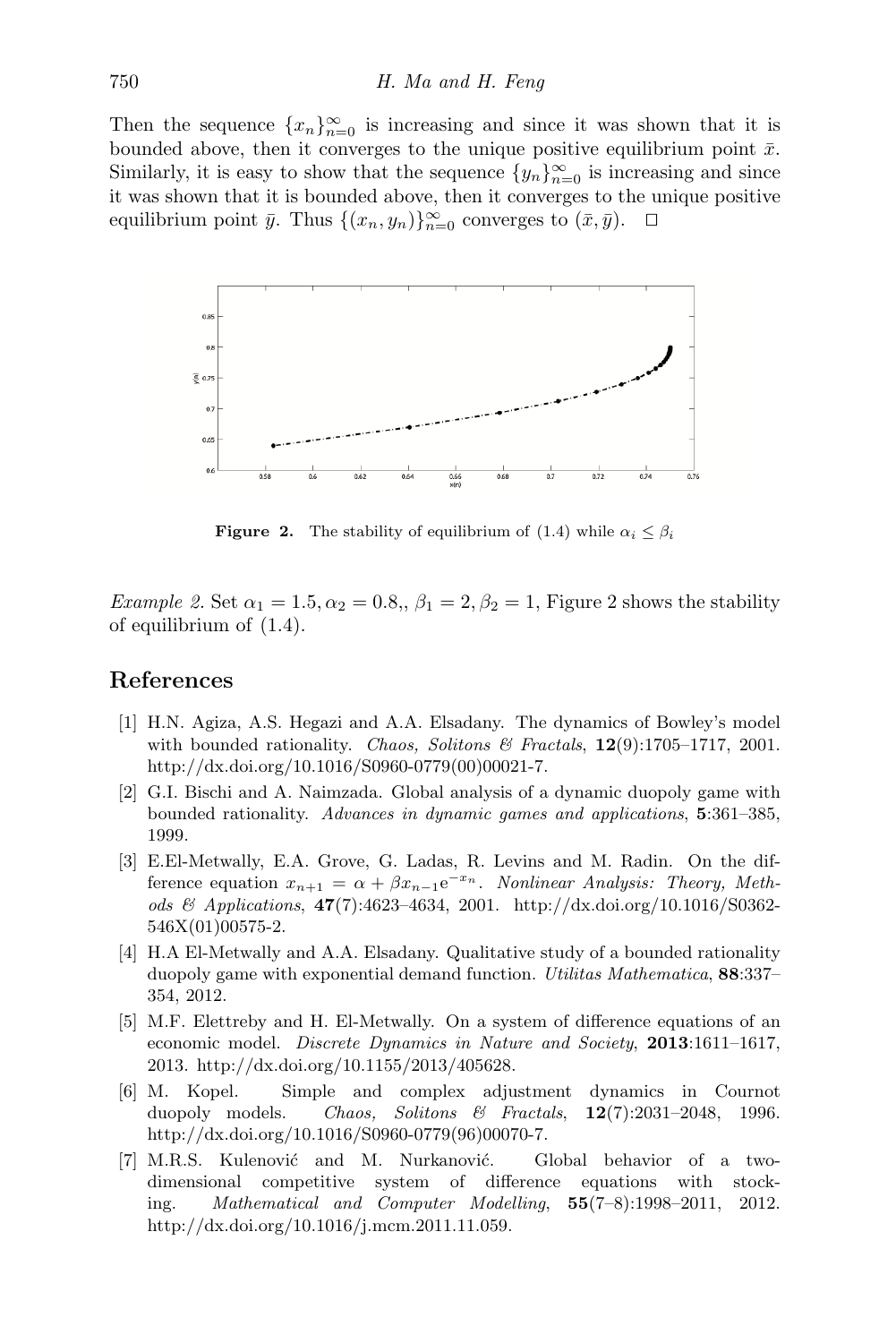Then the sequence  ${x_n}_{n=0}^{\infty}$  is increasing and since it was shown that it is bounded above, then it converges to the unique positive equilibrium point  $\bar{x}$ . Similarly, it is easy to show that the sequence  $\{y_n\}_{n=0}^{\infty}$  is increasing and since it was shown that it is bounded above, then it converges to the unique positive equilibrium point  $\bar{y}$ . Thus  $\{(x_n, y_n)\}_{n=0}^{\infty}$  converges to  $(\bar{x}, \bar{y})$ .  $\Box$ 

<span id="page-9-7"></span>

**Figure 2.** The stability of equilibrium of [\(1.4\)](#page-1-1) while  $\alpha_i \leq \beta_i$ 

Example [2](#page-9-7). Set  $\alpha_1 = 1.5, \alpha_2 = 0.8, \beta_1 = 2, \beta_2 = 1$ , Figure 2 shows the stability of equilibrium of [\(1.4\)](#page-1-1).

## References

- <span id="page-9-1"></span>[1] H.N. Agiza, A.S. Hegazi and A.A. Elsadany. The dynamics of Bowley's model with bounded rationality. Chaos, Solitons & Fractals,  $12(9)$ :1705-1717, 2001. [http://dx.doi.org/10.1016/S0960-0779\(00\)00021-7.](http://dx.doi.org/10.1016/S0960-0779(00)00021-7)
- <span id="page-9-0"></span>[2] G.I. Bischi and A. Naimzada. Global analysis of a dynamic duopoly game with bounded rationality. Advances in dynamic games and applications, 5:361–385, 1999.
- <span id="page-9-5"></span>[3] E.El-Metwally, E.A. Grove, G. Ladas, R. Levins and M. Radin. On the difference equation  $x_{n+1} = \alpha + \beta x_{n-1} e^{-x_n}$ . Nonlinear Analysis: Theory, Methods & Applications, 47(7):4623–4634, 2001. [http://dx.doi.org/10.1016/S0362-](http://dx.doi.org/10.1016/S0362-546X(01)00575-2) [546X\(01\)00575-2.](http://dx.doi.org/10.1016/S0362-546X(01)00575-2)
- <span id="page-9-4"></span>[4] H.A El-Metwally and A.A. Elsadany. Qualitative study of a bounded rationality duopoly game with exponential demand function. Utilitas Mathematica, 88:337– 354, 2012.
- <span id="page-9-3"></span>[5] M.F. Elettreby and H. El-Metwally. On a system of difference equations of an economic model. Discrete Dynamics in Nature and Society, 2013:1611-1617, 2013. [http://dx.doi.org/10.1155/2013/405628.](http://dx.doi.org/10.1155/2013/405628)
- <span id="page-9-2"></span>[6] M. Kopel. Simple and complex adjustment dynamics in Cournot duopoly models. Chaos, Solitons & Fractals, 12(7):2031–2048, 1996. [http://dx.doi.org/10.1016/S0960-0779\(96\)00070-7.](http://dx.doi.org/10.1016/S0960-0779(96)00070-7)
- <span id="page-9-6"></span>[7] M.R.S. Kulenović and M. Nurkanović. Global behavior of a twodimensional competitive system of difference equations with stocking. Mathematical and Computer Modelling, 55(7–8):1998–2011, 2012. [http://dx.doi.org/10.1016/j.mcm.2011.11.059.](http://dx.doi.org/10.1016/j.mcm.2011.11.059)